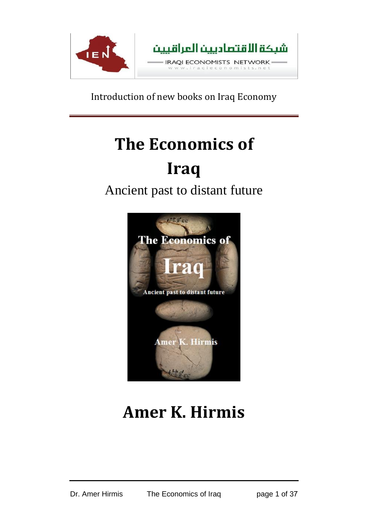

# **The Economics of Iraq**

## Ancient past to distant future



## **Amer K. Hirmis**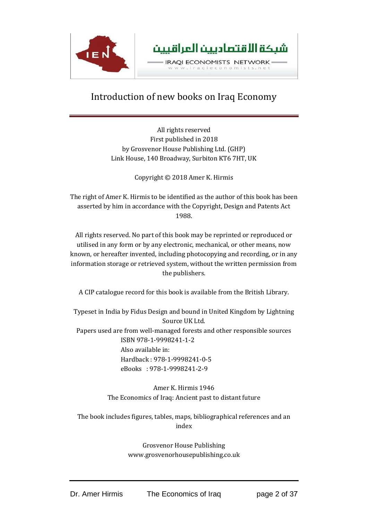

All rights reserved First published in 2018 by Grosvenor House Publishing Ltd. (GHP) Link House, 140 Broadway, Surbiton KT6 7HT, UK

Copyright © 2018 Amer K. Hirmis

The right of Amer K. Hirmis to be identified as the author of this book has been asserted by him in accordance with the Copyright, Design and Patents Act 1988.

All rights reserved. No part of this book may be reprinted or reproduced or utilised in any form or by any electronic, mechanical, or other means, now known, or hereafter invented, including photocopying and recording, or in any information storage or retrieved system, without the written permission from the publishers.

A CIP catalogue record for this book is available from the British Library.

Typeset in India by Fidus Design and bound in United Kingdom by Lightning Source UK Ltd.

Papers used are from well-managed forests and other responsible sources ISBN 978-1-9998241-1-2 Also available in: Hardback : 978-1-9998241-0-5 eBooks : 978-1-9998241-2-9

> Amer K. Hirmis 1946 The Economics of Iraq: Ancient past to distant future

The book includes figures, tables, maps, bibliographical references and an index

> Grosvenor House Publishing www.grosvenorhousepublishing.co.uk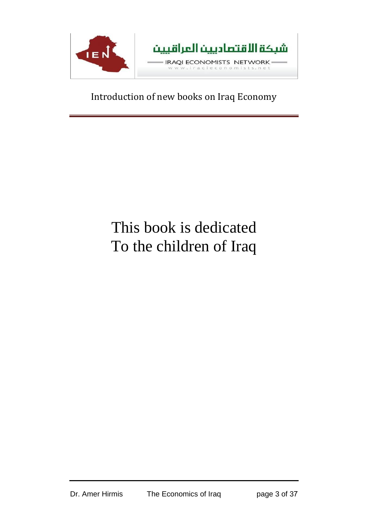

## This book is dedicated To the children of Iraq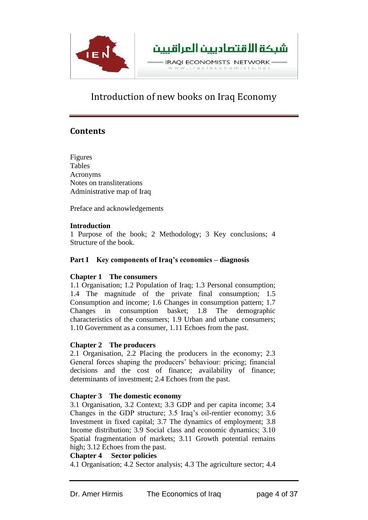

## **Contents**

Figures Tables Acronyms Notes on transliterations Administrative map of Iraq

Preface and acknowledgements

#### **Introduction**

1 Purpose of the book; 2 Methodology; 3 Key conclusions; 4 Structure of the book.

#### **Part I Key components of Iraq's economics – diagnosis**

#### **Chapter 1 The consumers**

1.1 Organisation; 1.2 Population of Iraq; 1.3 Personal consumption; 1.4 The magnitude of the private final consumption; 1.5 Consumption and income; 1.6 Changes in consumption pattern; 1.7 Changes in consumption basket; 1.8 The demographic characteristics of the consumers; 1.9 Urban and urbane consumers; 1.10 Government as a consumer, 1.11 Echoes from the past.

#### **Chapter 2 The producers**

2.1 Organisation, 2.2 Placing the producers in the economy; 2.3 General forces shaping the producers' behaviour: pricing; financial decisions and the cost of finance; availability of finance; determinants of investment; 2.4 Echoes from the past.

#### **Chapter 3 The domestic economy**

3.1 Organisation, 3.2 Context; 3.3 GDP and per capita income; 3.4 Changes in the GDP structure; 3.5 Iraq's oil-rentier economy; 3.6 Investment in fixed capital; 3.7 The dynamics of employment; 3.8 Income distribution; 3.9 Social class and economic dynamics; 3.10 Spatial fragmentation of markets; 3.11 Growth potential remains high; 3.12 Echoes from the past.

#### **Chapter 4 Sector policies**

4.1 Organisation; 4.2 Sector analysis; 4.3 The agriculture sector; 4.4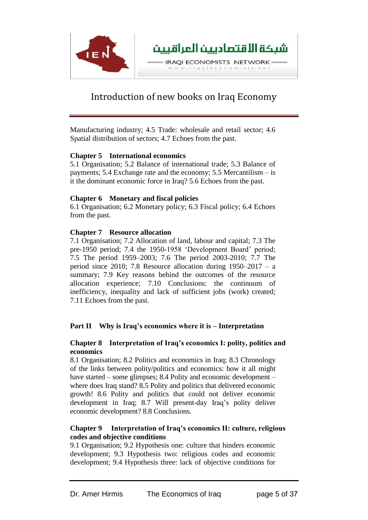

Manufacturing industry; 4.5 Trade: wholesale and retail sector; 4.6 Spatial distribution of sectors; 4.7 Echoes from the past.

#### **Chapter 5 International economics**

5.1 Organisation; 5.2 Balance of international trade; 5.3 Balance of payments; 5.4 Exchange rate and the economy; 5.5 Mercantilism – is it the dominant economic force in Iraq? 5.6 Echoes from the past.

#### **Chapter 6 Monetary and fiscal policies**

6.1 Organisation; 6.2 Monetary policy; 6.3 Fiscal policy; 6.4 Echoes from the past.

#### **Chapter 7 Resource allocation**

7.1 Organisation; 7.2 Allocation of land, labour and capital; 7.3 The pre-1950 period; 7.4 the 1950-1958 'Development Board' period; 7.5 The period 1959–2003; 7.6 The period 2003-2010; 7.7 The period since 2010; 7.8 Resource allocation during 1950–2017 – a summary; 7.9 Key reasons behind the outcomes of the resource allocation experience; 7.10 Conclusions: the continuum of inefficiency, inequality and lack of sufficient jobs (work) created; 7.11 Echoes from the past.

### **Part II Why is Iraq's economics where it is – Interpretation**

#### **Chapter 8 Interpretation of Iraq's economics I: polity, politics and economics**

8.1 Organisation; 8.2 Politics and economics in Iraq; 8.3 Chronology of the links between polity/politics and economics: how it all might have started – some glimpses; 8.4 Polity and economic development – where does Iraq stand? 8.5 Polity and politics that delivered economic growth! 8.6 Polity and politics that could not deliver economic development in Iraq; 8.7 Will present-day Iraq's polity deliver economic development? 8.8 Conclusions.

#### **Chapter 9 Interpretation of Iraq's economics II: culture, religious codes and objective conditions**

9.1 Organisation; 9.2 Hypothesis one: culture that hinders economic development; 9.3 Hypothesis two: religious codes and economic development; 9.4 Hypothesis three: lack of objective conditions for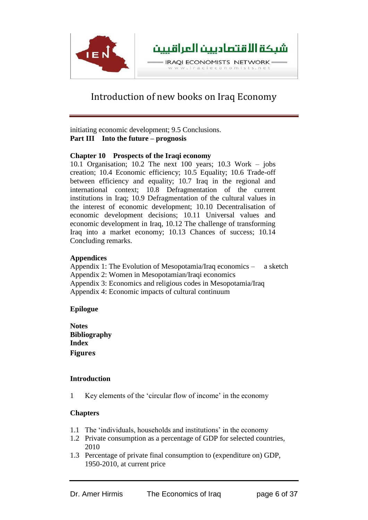

initiating economic development; 9.5 Conclusions. **Part III Into the future – prognosis**

#### **Chapter 10 Prospects of the Iraqi economy**

10.1 Organisation; 10.2 The next 100 years; 10.3 Work – jobs creation; 10.4 Economic efficiency; 10.5 Equality; 10.6 Trade-off between efficiency and equality; 10.7 Iraq in the regional and international context; 10.8 Defragmentation of the current institutions in Iraq; 10.9 Defragmentation of the cultural values in the interest of economic development; 10.10 Decentralisation of economic development decisions; 10.11 Universal values and economic development in Iraq, 10.12 The challenge of transforming Iraq into a market economy; 10.13 Chances of success; 10.14 Concluding remarks.

#### **Appendices**

Appendix 1: The Evolution of Mesopotamia/Iraq economics – a sketch Appendix 2: Women in Mesopotamian/Iraqi economics Appendix 3: Economics and religious codes in Mesopotamia/Iraq Appendix 4: Economic impacts of cultural continuum

#### **Epilogue**

**Notes Bibliography Index Figures**

### **Introduction**

1 Key elements of the 'circular flow of income' in the economy

### **Chapters**

- 1.1 The 'individuals, households and institutions' in the economy
- 1.2 Private consumption as a percentage of GDP for selected countries, 2010
- 1.3 Percentage of private final consumption to (expenditure on) GDP, 1950-2010, at current price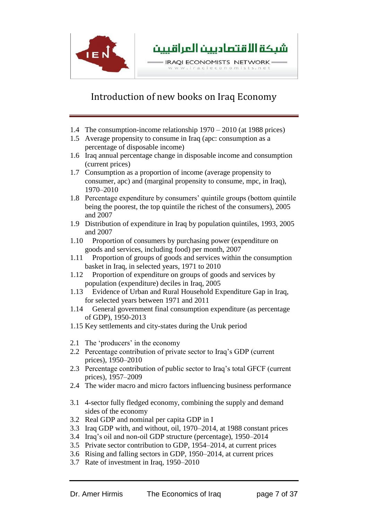

- 1.4 The consumption-income relationship 1970 2010 (at 1988 prices)
- 1.5 Average propensity to consume in Iraq (apc: consumption as a percentage of disposable income)
- 1.6 Iraq annual percentage change in disposable income and consumption (current prices)
- 1.7 Consumption as a proportion of income (average propensity to consumer, apc) and (marginal propensity to consume, mpc, in Iraq), 1970–2010
- 1.8 Percentage expenditure by consumers' quintile groups (bottom quintile being the poorest, the top quintile the richest of the consumers), 2005 and 2007
- 1.9 Distribution of expenditure in Iraq by population quintiles, 1993, 2005 and 2007
- 1.10 Proportion of consumers by purchasing power (expenditure on goods and services, including food) per month, 2007
- 1.11 Proportion of groups of goods and services within the consumption basket in Iraq, in selected years, 1971 to 2010
- 1.12 Proportion of expenditure on groups of goods and services by population (expenditure) deciles in Iraq, 2005
- 1.13 Evidence of Urban and Rural Household Expenditure Gap in Iraq, for selected years between 1971 and 2011
- 1.14 General government final consumption expenditure (as percentage of GDP), 1950-2013
- 1.15 Key settlements and city-states during the Uruk period
- 2.1 The 'producers' in the economy
- 2.2 Percentage contribution of private sector to Iraq's GDP (current prices), 1950–2010
- 2.3 Percentage contribution of public sector to Iraq's total GFCF (current prices), 1957–2009
- 2.4 The wider macro and micro factors influencing business performance
- 3.1 4-sector fully fledged economy, combining the supply and demand sides of the economy
- 3.2 Real GDP and nominal per capita GDP in I
- 3.3 Iraq GDP with, and without, oil, 1970–2014, at 1988 constant prices
- 3.4 Iraq's oil and non-oil GDP structure (percentage), 1950–2014
- 3.5 Private sector contribution to GDP, 1954–2014, at current prices
- 3.6 Rising and falling sectors in GDP, 1950–2014, at current prices
- 3.7 Rate of investment in Iraq, 1950–2010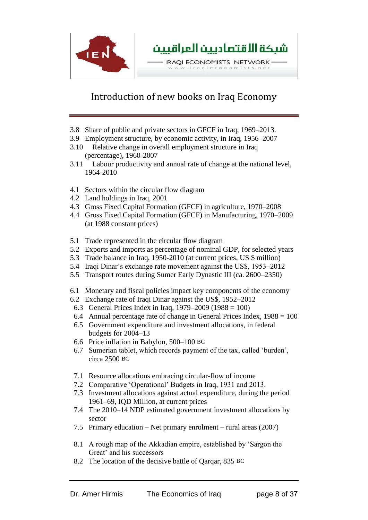

- 3.8 Share of public and private sectors in GFCF in Iraq, 1969–2013.
- 3.9 Employment structure, by economic activity, in Iraq, 1956–2007
- 3.10 Relative change in overall employment structure in Iraq (percentage), 1960-2007
- 3.11 Labour productivity and annual rate of change at the national level, 1964-2010
- 4.1 Sectors within the circular flow diagram
- 4.2 Land holdings in Iraq, 2001
- 4.3 Gross Fixed Capital Formation (GFCF) in agriculture, 1970–2008
- 4.4 Gross Fixed Capital Formation (GFCF) in Manufacturing, 1970–2009 (at 1988 constant prices)
- 5.1 Trade represented in the circular flow diagram
- 5.2 Exports and imports as percentage of nominal GDP, for selected years
- 5.3 Trade balance in Iraq, 1950-2010 (at current prices, US \$ million)
- 5.4 Iraqi Dinar's exchange rate movement against the US\$, 1953–2012
- 5.5 Transport routes during Sumer Early Dynastic III (ca. 2600–2350)
- 6.1 Monetary and fiscal policies impact key components of the economy
- 6.2 Exchange rate of Iraqi Dinar against the US\$, 1952–2012
- 6.3 General Prices Index in Iraq, 1979–2009 (1988 = 100)
- 6.4 Annual percentage rate of change in General Prices Index,  $1988 = 100$
- 6.5 Government expenditure and investment allocations, in federal budgets for 2004–13
- 6.6 Price inflation in Babylon, 500–100 BC
- 6.7 Sumerian tablet, which records payment of the tax, called 'burden', circa 2500 BC
- 7.1 Resource allocations embracing circular-flow of income
- 7.2 Comparative 'Operational' Budgets in Iraq, 1931 and 2013.
- 7.3 Investment allocations against actual expenditure, during the period 1961–69, IQD Million, at current prices
- 7.4 The 2010–14 NDP estimated government investment allocations by sector
- 7.5 Primary education Net primary enrolment rural areas (2007)
- 8.1 A rough map of the Akkadian empire, established by 'Sargon the Great' and his successors
- 8.2 The location of the decisive battle of Qarqar, 835 BC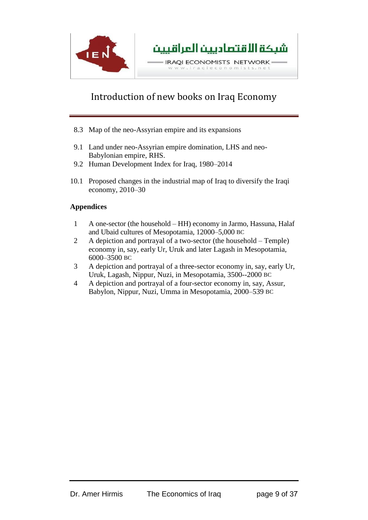

- 8.3 Map of the neo-Assyrian empire and its expansions
- 9.1 Land under neo-Assyrian empire domination, LHS and neo-Babylonian empire, RHS.
- 9.2 Human Development Index for Iraq, 1980–2014
- 10.1 Proposed changes in the industrial map of Iraq to diversify the Iraqi economy, 2010–30

#### **Appendices**

- 1 A one-sector (the household HH) economy in Jarmo, Hassuna, Halaf and Ubaid cultures of Mesopotamia, 12000–5,000 BC
- 2 A depiction and portrayal of a two-sector (the household Temple) economy in, say, early Ur, Uruk and later Lagash in Mesopotamia, 6000–3500 BC
- 3 A depiction and portrayal of a three-sector economy in, say, early Ur, Uruk, Lagash, Nippur, Nuzi, in Mesopotamia, 3500--2000 BC
- 4 A depiction and portrayal of a four-sector economy in, say, Assur, Babylon, Nippur, Nuzi, Umma in Mesopotamia, 2000–539 BC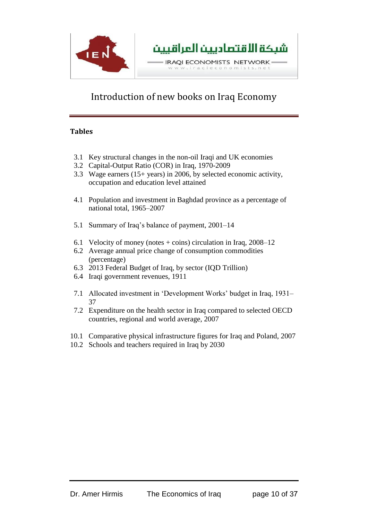

### **Tables**

- 3.1 Key structural changes in the non-oil Iraqi and UK economies
- 3.2 Capital-Output Ratio (COR) in Iraq, 1970-2009
- 3.3 Wage earners (15+ years) in 2006, by selected economic activity, occupation and education level attained
- 4.1 Population and investment in Baghdad province as a percentage of national total, 1965–2007
- 5.1 Summary of Iraq's balance of payment, 2001–14
- 6.1 Velocity of money (notes  $+$  coins) circulation in Iraq, 2008–12
- 6.2 Average annual price change of consumption commodities (percentage)
- 6.3 2013 Federal Budget of Iraq, by sector (IQD Trillion)
- 6.4 Iraqi government revenues, 1911
- 7.1 Allocated investment in 'Development Works' budget in Iraq, 1931– 37
- 7.2 Expenditure on the health sector in Iraq compared to selected OECD countries, regional and world average, 2007
- 10.1 Comparative physical infrastructure figures for Iraq and Poland, 2007
- 10.2 Schools and teachers required in Iraq by 2030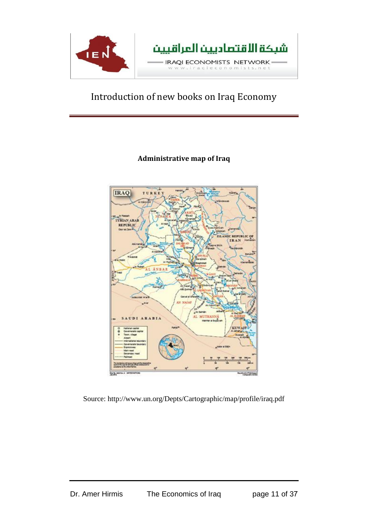

## **Administrative map of Iraq**



Source:<http://www.un.org/Depts/Cartographic/map/profile/iraq.pdf>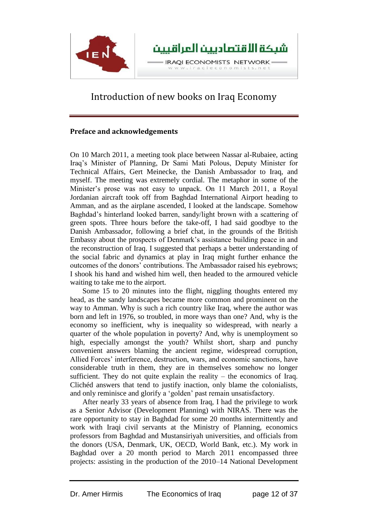

#### **Preface and acknowledgements**

On 10 March 2011, a meeting took place between Nassar al-Rubaiee, acting Iraq's Minister of Planning, Dr Sami Mati Polous, Deputy Minister for Technical Affairs, Gert Meinecke, the Danish Ambassador to Iraq, and myself. The meeting was extremely cordial. The metaphor in some of the Minister's prose was not easy to unpack. On 11 March 2011, a Royal Jordanian aircraft took off from Baghdad International Airport heading to Amman, and as the airplane ascended, I looked at the landscape. Somehow Baghdad's hinterland looked barren, sandy/light brown with a scattering of green spots. Three hours before the take-off, I had said goodbye to the Danish Ambassador, following a brief chat, in the grounds of the British Embassy about the prospects of Denmark's assistance building peace in and the reconstruction of Iraq. I suggested that perhaps a better understanding of the social fabric and dynamics at play in Iraq might further enhance the outcomes of the donors' contributions. The Ambassador raised his eyebrows; I shook his hand and wished him well, then headed to the armoured vehicle waiting to take me to the airport.

Some 15 to 20 minutes into the flight, niggling thoughts entered my head, as the sandy landscapes became more common and prominent on the way to Amman. Why is such a rich country like Iraq, where the author was born and left in 1976, so troubled, in more ways than one? And, why is the economy so inefficient, why is inequality so widespread, with nearly a quarter of the whole population in poverty? And, why is unemployment so high, especially amongst the youth? Whilst short, sharp and punchy convenient answers blaming the ancient regime, widespread corruption, Allied Forces' interference, destruction, wars, and economic sanctions, have considerable truth in them, they are in themselves somehow no longer sufficient. They do not quite explain the reality  $-$  the economics of Iraq. Clichéd answers that tend to justify inaction, only blame the colonialists, and only reminisce and glorify a 'golden' past remain unsatisfactory.

After nearly 33 years of absence from Iraq, I had the privilege to work as a Senior Advisor (Development Planning) with NIRAS. There was the rare opportunity to stay in Baghdad for some 20 months intermittently and work with Iraqi civil servants at the Ministry of Planning, economics professors from Baghdad and Mustansiriyah universities, and officials from the donors (USA, Denmark, UK, OECD, World Bank, etc.). My work in Baghdad over a 20 month period to March 2011 encompassed three projects: assisting in the production of the 2010–14 National Development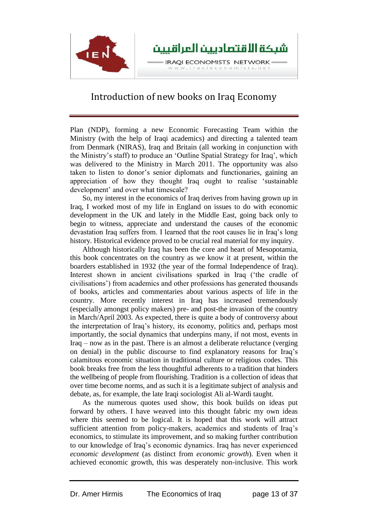

Plan (NDP), forming a new Economic Forecasting Team within the Ministry (with the help of Iraqi academics) and directing a talented team from Denmark (NIRAS), Iraq and Britain (all working in conjunction with the Ministry's staff) to produce an 'Outline Spatial Strategy for Iraq', which was delivered to the Ministry in March 2011. The opportunity was also taken to listen to donor's senior diplomats and functionaries, gaining an appreciation of how they thought Iraq ought to realise 'sustainable development' and over what timescale?

So, my interest in the economics of Iraq derives from having grown up in Iraq, I worked most of my life in England on issues to do with economic development in the UK and lately in the Middle East, going back only to begin to witness, appreciate and understand the causes of the economic devastation Iraq suffers from. I learned that the root causes lie in Iraq's long history. Historical evidence proved to be crucial real material for my inquiry.

Although historically Iraq has been the core and heart of Mesopotamia, this book concentrates on the country as we know it at present, within the boarders established in 1932 (the year of the formal Independence of Iraq). Interest shown in ancient civilisations sparked in Iraq ('the cradle of civilisations') from academics and other professions has generated thousands of books, articles and commentaries about various aspects of life in the country. More recently interest in Iraq has increased tremendously (especially amongst policy makers) pre- and post-the invasion of the country in March/April 2003. As expected, there is quite a body of controversy about the interpretation of Iraq's history, its economy, politics and, perhaps most importantly, the social dynamics that underpins many, if not most, events in Iraq – now as in the past. There is an almost a deliberate reluctance (verging on denial) in the public discourse to find explanatory reasons for Iraq's calamitous economic situation in traditional culture or religious codes. This book breaks free from the less thoughtful adherents to a tradition that hinders the wellbeing of people from flourishing. Tradition is a collection of ideas that over time become norms, and as such it is a legitimate subject of analysis and debate, as, for example, the late Iraqi sociologist Ali al-Wardi taught.

As the numerous quotes used show, this book builds on ideas put forward by others. I have weaved into this thought fabric my own ideas where this seemed to be logical. It is hoped that this work will attract sufficient attention from policy-makers, academics and students of Iraq's economics, to stimulate its improvement, and so making further contribution to our knowledge of Iraq's economic dynamics. Iraq has never experienced *economic development* (as distinct from *economic growth*). Even when it achieved economic growth, this was desperately non-inclusive. This work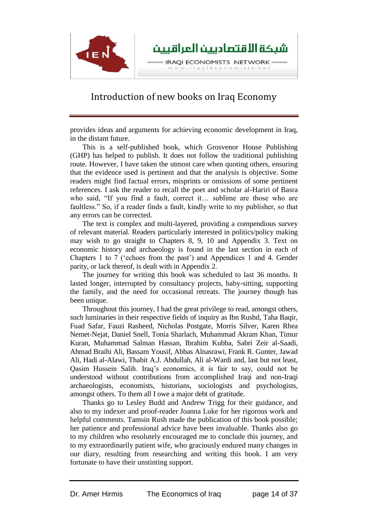

provides ideas and arguments for achieving economic development in Iraq, in the distant future.

This is a self-published book, which Grosvenor House Publishing (GHP) has helped to publish. It does not follow the traditional publishing route. However, I have taken the utmost care when quoting others, ensuring that the evidence used is pertinent and that the analysis is objective. Some readers might find factual errors, misprints or omissions of some pertinent references. I ask the reader to recall the poet and scholar al-Hariri of Basra who said, "If you find a fault, correct it… sublime are those who are faultless." So, if a reader finds a fault, kindly write to my publisher, so that any errors can be corrected.

The text is complex and multi-layered, providing a compendious survey of relevant material. Readers particularly interested in politics/policy making may wish to go straight to Chapters 8, 9, 10 and Appendix 3. Text on economic history and archaeology is found in the last section in each of Chapters 1 to 7 ('echoes from the past') and Appendices 1 and 4. Gender parity, or lack thereof, is dealt with in Appendix 2.

The journey for writing this book was scheduled to last 36 months. It lasted longer, interrupted by consultancy projects, baby-sitting, supporting the family, and the need for occasional retreats. The journey though has been unique.

Throughout this journey, I had the great privilege to read, amongst others, such luminaries in their respective fields of inquiry as Ibn Rushd, Taha Baqir, Fuad Safar, Fauzi Rasheed, Nicholas Postgate, Morris Silver, [Karen Rhea](https://www.google.co.uk/search?rlz=1C2XLWD_enGB497GB518&biw=1024&bih=677&tbm=bks&q=inauthor:%22Karen+Rhea+Nemet-Nejat%22&sa=X&ei=1UJGVeKJCeKp7Aae6oGwBQ&ved=0CCIQ9AgwAA)  [Nemet-Nejat,](https://www.google.co.uk/search?rlz=1C2XLWD_enGB497GB518&biw=1024&bih=677&tbm=bks&q=inauthor:%22Karen+Rhea+Nemet-Nejat%22&sa=X&ei=1UJGVeKJCeKp7Aae6oGwBQ&ved=0CCIQ9AgwAA) Daniel Snell, Tonia Sharlach, Muhammad Akram Khan, Timur Kuran, Muhammad Salman Hassan, Ibrahim Kubba, Sabri Zeir al-Saadi, Ahmad Braihi Ali, Bassam Yousif, Abbas Alnasrawi, Frank R. Gunter, Jawad Ali, Hadi al-Alawi, Thabit A.J. Abdullah, Ali al-Wardi and, last but not least, Qasim Hussein Salih. Iraq's economics, it is fair to say, could not be understood without contributions from accomplished Iraqi and non-Iraqi archaeologists, economists, historians, sociologists and psychologists, amongst others. To them all I owe a major debt of gratitude.

Thanks go to Lesley Budd and Andrew Trigg for their guidance, and also to my indexer and proof-reader Joanna Luke for her rigorous work and helpful comments. Tamsin Rush made the publication of this book possible; her patience and professional advice have been invaluable. Thanks also go to my children who resolutely encouraged me to conclude this journey, and to my extraordinarily patient wife, who graciously endured many changes in our diary, resulting from researching and writing this book. I am very fortunate to have their unstinting support.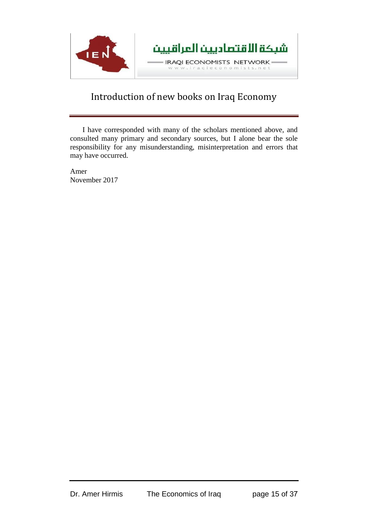

I have corresponded with many of the scholars mentioned above, and consulted many primary and secondary sources, but I alone bear the sole responsibility for any misunderstanding, misinterpretation and errors that may have occurred.

Amer November 2017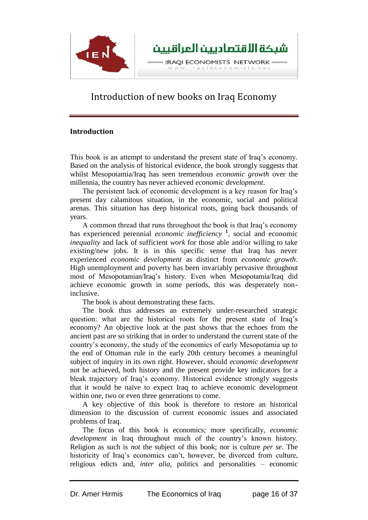

#### **Introduction**

This book is an attempt to understand the present state of Iraq's economy. Based on the analysis of historical evidence, the book strongly suggests that whilst Mesopotamia/Iraq has seen tremendous *economic growth* over the millennia, the country has never achieved *economic development*.

The persistent lack of economic development is a key reason for Iraq's present day calamitous situation, in the economic, social and political arenas. This situation has deep historical roots, going back thousands of years.

A common thread that runs throughout the book is that Iraq's economy has experienced perennial *economic inefficiency* **<sup>1</sup>** , social and economic *inequality* and lack of sufficient *work* for those able and/or willing to take existing/new jobs. It is in this specific sense that Iraq has never experienced *economic development* as distinct from *economic growth*. High unemployment and poverty has been invariably pervasive throughout most of Mesopotamian/Iraq's history. Even when Mesopotamia/Iraq did achieve economic growth in some periods, this was desperately noninclusive.

The book is about demonstrating these facts.

The book thus addresses an extremely under-researched strategic question: what are the historical roots for the present state of Iraq's economy? An objective look at the past shows that the echoes from the ancient past are so striking that in order to understand the current state of the country's economy, the study of the economics of early Mesopotamia up to the end of Ottoman rule in the early 20th century becomes a meaningful subject of inquiry in its own right. However, should *economic development* not be achieved, both history and the present provide key indicators for a bleak trajectory of Iraq's economy. Historical evidence strongly suggests that it would be naïve to expect Iraq to achieve economic development within one, two or even three generations to come.

A key objective of this book is therefore to restore an historical dimension to the discussion of current economic issues and associated problems of Iraq.

The focus of this book is economics; more specifically, *economic development* in Iraq throughout much of the country's known history. Religion as such is *not* the subject of this book; nor is culture *per se*. The historicity of Iraq's economics can't, however, be divorced from culture, religious edicts and, *inter alia*, politics and personalities – economic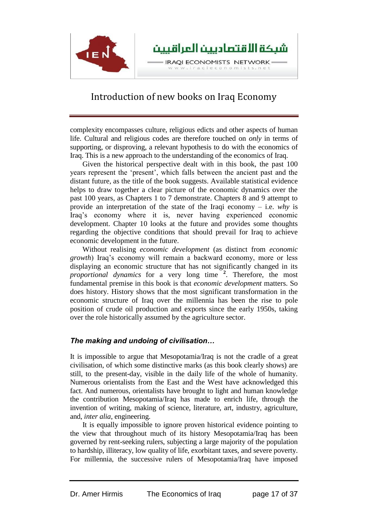

complexity encompasses culture, religious edicts and other aspects of human life. Cultural and religious codes are therefore touched on *only* in terms of supporting, or disproving, a relevant hypothesis to do with the economics of Iraq. This is a new approach to the understanding of the economics of Iraq.

Given the historical perspective dealt with in this book, the past 100 years represent the 'present', which falls between the ancient past and the distant future, as the title of the book suggests. Available statistical evidence helps to draw together a clear picture of the economic dynamics over the past 100 years, as Chapters 1 to 7 demonstrate. Chapters 8 and 9 attempt to provide an interpretation of the state of the Iraqi economy – i.e. *why* is Iraq's economy where it is, never having experienced economic development. Chapter 10 looks at the future and provides some thoughts regarding the objective conditions that should prevail for Iraq to achieve economic development in the future.

Without realising *economic development* (as distinct from *economic growth*) Iraq's economy will remain a backward economy, more or less displaying an economic structure that has not significantly changed in its *proportional dynamics* for a very long time **<sup>2</sup>** . Therefore, the most fundamental premise in this book is that *economic development* matters. So does history. History shows that the most significant transformation in the economic structure of Iraq over the millennia has been the rise to pole position of crude oil production and exports since the early 1950s, taking over the role historically assumed by the agriculture sector.

### *The making and undoing of civilisation…*

It is impossible to argue that Mesopotamia/Iraq is not the cradle of a great civilisation, of which some distinctive marks (as this book clearly shows) are still, to the present-day, visible in the daily life of the whole of humanity. Numerous orientalists from the East and the West have acknowledged this fact. And numerous, orientalists have brought to light and human knowledge the contribution Mesopotamia/Iraq has made to enrich life, through the invention of writing, making of science, literature, art, industry, agriculture, and, *inter alia*, engineering.

It is equally impossible to ignore proven historical evidence pointing to the view that throughout much of its history Mesopotamia/Iraq has been governed by rent-seeking rulers, subjecting a large majority of the population to hardship, illiteracy, low quality of life, exorbitant taxes, and severe poverty. For millennia, the successive rulers of Mesopotamia/Iraq have imposed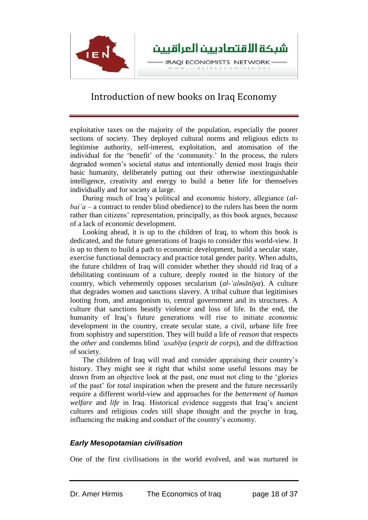

exploitative taxes on the majority of the population, especially the poorer sections of society. They deployed cultural norms and religious edicts to legitimise authority, self-interest, exploitation, and atomisation of the individual for the 'benefit' of the 'community.' In the process, the rulers degraded women's societal status and intentionally denied most Iraqis their basic humanity, deliberately putting out their otherwise inextinguishable intelligence, creativity and energy to build a better life for themselves individually and for society at large.

During much of Iraq's political and economic history, allegiance (*albai'a –* a contract to render blind obedience) to the rulers has been the norm rather than citizens' representation, principally, as this book argues, because of a lack of economic development.

Looking ahead, it is up to the children of Iraq, to whom this book is dedicated, and the future generations of Iraqis to consider this world-view. It is up to them to build a path to economic development, build a secular state, exercise functional democracy and practice total gender parity. When adults, the future children of Iraq will consider whether they should rid Iraq of a debilitating continuum of a culture, deeply rooted in the history of the country, which vehemently opposes secularism (*al-'almānīya*). A culture that degrades women and sanctions slavery. A tribal culture that legitimises looting from, and antagonism to, central government and its structures. A culture that sanctions beastly violence and loss of life. In the end, the humanity of Iraq's future generations will rise to initiate economic development in the country, create secular state, a civil, urbane life free from sophistry and superstition. They will build a life of *reason* that respects the *other* and condemns blind *'asabīya* (*esprit de corps*), and the diffraction of society.

The children of Iraq will read and consider appraising their country's history. They might see it right that whilst some useful lessons may be drawn from an objective look at the past, one must not cling to the 'glories of the past' for *total* inspiration when the present and the future necessarily require a different world-view and approaches for the *betterment of human welfare* and *life* in Iraq. Historical evidence suggests that Iraq's ancient cultures and religious *codes* still shape thought and the psyche in Iraq, influencing the making and conduct of the country's economy.

#### *Early Mesopotamian civilisation*

One of the first civilisations in the world evolved, and was nurtured in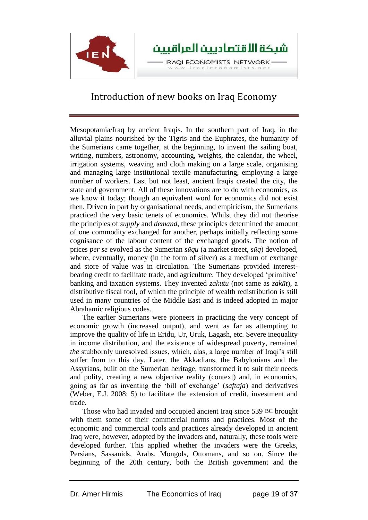

Mesopotamia/Iraq by ancient Iraqis. In the southern part of Iraq, in the alluvial plains nourished by the Tigris and the Euphrates, the humanity of the Sumerians came together, at the beginning, to invent the sailing boat, writing, numbers, astronomy, accounting, weights, the calendar, the wheel, irrigation systems, weaving and cloth making on a large scale, organising and managing large institutional textile manufacturing, employing a large number of workers. Last but not least, ancient Iraqis created the city, the state and government. All of these innovations are to do with economics, as we know it today; though an equivalent word for economics did not exist then. Driven in part by organisational needs, and empiricism, the Sumerians practiced the very basic tenets of economics. Whilst they did not theorise the principles of *supply* and *demand*, these principles determined the amount of one commodity exchanged for another, perhaps initially reflecting some cognisance of the labour content of the exchanged goods. The notion of prices *per se* evolved as the Sumerian *sūqu* (a market street, *sūq*) developed, where, eventually, money (in the form of silver) as a medium of exchange and store of value was in circulation. The Sumerians provided interestbearing credit to facilitate trade, and agriculture. They developed 'primitive' banking and taxation systems. They invented *zakutu* (not same as *zakāt*), a distributive fiscal tool, of which the principle of wealth redistribution is still used in many countries of the Middle East and is indeed adopted in major Abrahamic religious codes.

The earlier Sumerians were pioneers in practicing the very concept of economic growth (increased output), and went as far as attempting to improve the quality of life in Eridu, Ur, Uruk, Lagash, etc. Severe inequality in income distribution, and the existence of widespread poverty, remained *the* stubbornly unresolved issues, which, alas, a large number of Iraqi's still suffer from to this day. Later, the Akkadians, the Babylonians and the Assyrians, built on the Sumerian heritage, transformed it to suit their needs and polity, creating a new objective reality (context) and, in economics, going as far as inventing the 'bill of exchange' (*saftaja*) and derivatives (Weber, E.J. 2008: 5) to facilitate the extension of credit, investment and trade.

Those who had invaded and occupied ancient Iraq since 539 BC brought with them some of their commercial norms and practices. Most of the economic and commercial tools and practices already developed in ancient Iraq were, however, adopted by the invaders and, naturally, these tools were developed further. This applied whether the invaders were the Greeks, Persians, Sassanids, Arabs, Mongols, Ottomans, and so on. Since the beginning of the 20th century, both the British government and the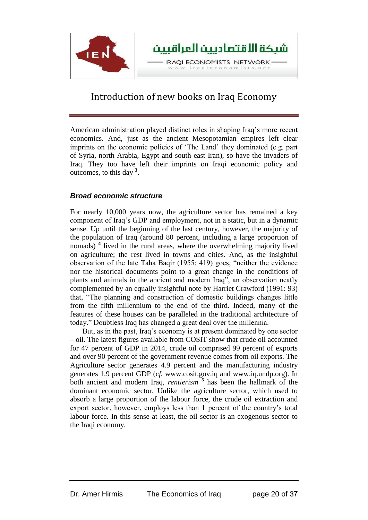

American administration played distinct roles in shaping Iraq's more recent economics. And, just as the ancient Mesopotamian empires left clear imprints on the economic policies of 'The Land' they dominated (e.g. part of Syria, north Arabia, Egypt and south-east Iran), so have the invaders of Iraq. They too have left their imprints on Iraqi economic policy and outcomes, to this day **<sup>3</sup>** .

#### *Broad economic structure*

For nearly 10,000 years now, the agriculture sector has remained a key component of Iraq's GDP and employment, not in a static, but in a dynamic sense. Up until the beginning of the last century, however, the majority of the population of Iraq (around 80 percent, including a large proportion of nomads) **<sup>4</sup>** lived in the rural areas, where the overwhelming majority lived on agriculture; the rest lived in towns and cities. And, as the insightful observation of the late Taha Baqir (1955: 419) goes, "neither the evidence nor the historical documents point to a great change in the conditions of plants and animals in the ancient and modern Iraq", an observation neatly complemented by an equally insightful note by Harriet Crawford (1991: 93) that, "The planning and construction of domestic buildings changes little from the fifth millennium to the end of the third. Indeed, many of the features of these houses can be paralleled in the traditional architecture of today." Doubtless Iraq has changed a great deal over the millennia.

But, as in the past, Iraq's economy is at present dominated by one sector – oil. The latest figures available from COSIT show that crude oil accounted for 47 percent of GDP in 2014, crude oil comprised 99 percent of exports and over 90 percent of the government revenue comes from oil exports. The Agriculture sector generates 4.9 percent and the manufacturing industry generates 1.9 percent GDP (*cf.* www.cosit.gov.iq and www.iq.undp.org). In both ancient and modern Iraq, *rentierism*<sup>5</sup> has been the hallmark of the dominant economic sector. Unlike the agriculture sector, which used to absorb a large proportion of the labour force, the crude oil extraction and export sector, however, employs less than 1 percent of the country's total labour force. In this sense at least, the oil sector is an exogenous sector to the Iraqi economy.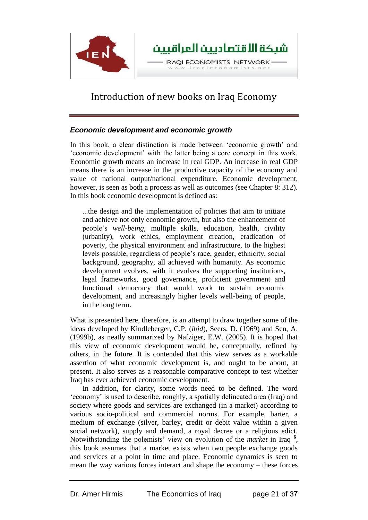

### *Economic development and economic growth*

In this book, a clear distinction is made between 'economic growth' and 'economic development' with the latter being a core concept in this work. Economic growth means an increase in real GDP. An increase in real GDP means there is an increase in the productive capacity of the economy and value of national output/national expenditure. Economic development, however, is seen as both a process as well as outcomes (see Chapter 8: 312). In this book economic development is defined as:

...the design and the implementation of policies that aim to initiate and achieve not only economic growth, but also the enhancement of people's *well-being*, multiple skills, education, health, civility (urbanity), work ethics, employment creation, eradication of poverty, the physical environment and infrastructure, to the highest levels possible, regardless of people's race, gender, ethnicity, social background, geography, all achieved with humanity. As economic development evolves, with it evolves the supporting institutions, legal frameworks, good governance, proficient government and functional democracy that would work to sustain economic development, and increasingly higher levels well-being of people, in the long term.

What is presented here, therefore, is an attempt to draw together some of the ideas developed by Kindleberger, C.P. (*ibid*), Seers, D. (1969) and Sen, A. (1999b), as neatly summarized by Nafziger, E.W. (2005). It is hoped that this view of economic development would be, conceptually, refined by others, in the future. It is contended that this view serves as a workable assertion of what economic development is, and ought to be about, at present. It also serves as a reasonable comparative concept to test whether Iraq has ever achieved economic development.

In addition, for clarity, some words need to be defined. The word 'economy' is used to describe, roughly, a spatially delineated area (Iraq) and society where goods and services are exchanged (in a market) according to various socio-political and commercial norms. For example, barter, a medium of exchange (silver, barley, credit or debit value within a given social network), supply and demand, a royal decree or a religious edict. Notwithstanding the polemists' view on evolution of the *market* in Iraq **<sup>6</sup>** , this book assumes that a market exists when two people exchange goods and services at a point in time and place. Economic dynamics is seen to mean the way various forces interact and shape the economy – these forces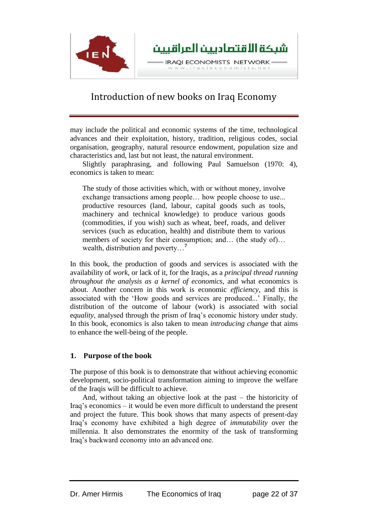

may include the political and economic systems of the time, technological advances and their exploitation, history, tradition, religious codes, social organisation, geography, natural resource endowment, population size and characteristics and, last but not least, the natural environment.

Slightly paraphrasing, and following Paul Samuelson (1970: 4), economics is taken to mean:

The study of those activities which, with or without money, involve exchange transactions among people… how people choose to use... productive resources (land, labour, capital goods such as tools, machinery and technical knowledge) to produce various goods (commodities, if you wish) such as wheat, beef, roads, and deliver services (such as education, health) and distribute them to various members of society for their consumption; and… (the study of)… wealth, distribution and poverty…**<sup>7</sup>**

In this book, the production of goods and services is associated with the availability of *work*, or lack of it, for the Iraqis, as a *principal thread running throughout the analysis as a kernel of economics*, and what economics is about. Another concern in this work is economic *efficiency*, and this is associated with the 'How goods and services are produced...' Finally, the distribution of the outcome of labour (work) is associated with social e*quality*, analysed through the prism of Iraq's economic history under study. In this book, economics is also taken to mean *introducing change* that aims to enhance the well-being of the people.

#### **1. Purpose of the book**

The purpose of this book is to demonstrate that without achieving economic development, socio-political transformation aiming to improve the welfare of the Iraqis will be difficult to achieve.

And, without taking an objective look at the past – the historicity of Iraq's economics – it would be even more difficult to understand the present and project the future. This book shows that many aspects of present-day Iraq's economy have exhibited a high degree of *immutability* over the millennia. It also demonstrates the enormity of the task of transforming Iraq's backward economy into an advanced one.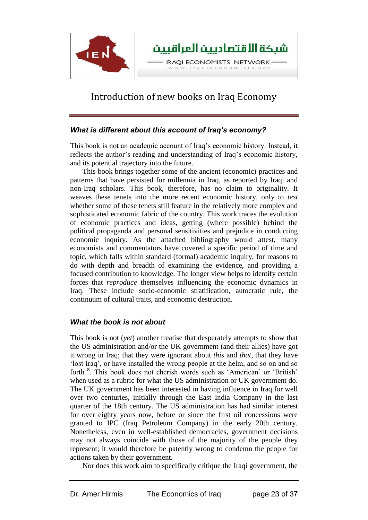

#### *What is different about this account of Iraq's economy?*

This book is not an academic account of Iraq's economic history. Instead, it reflects the author's reading and understanding of Iraq's economic history, and its potential trajectory into the future.

This book brings together some of the ancient (economic) practices and patterns that have persisted for millennia in Iraq, as reported by Iraqi and non-Iraq scholars. This book, therefore, has no claim to originality. It weaves these tenets into the more recent economic history, only to *test*  whether some of these tenets still feature in the relatively more complex and sophisticated economic fabric of the country. This work traces the evolution of economic practices and ideas, getting (where possible) behind the political propaganda and personal sensitivities and prejudice in conducting economic inquiry. As the attached bibliography would attest, many economists and commentators have covered a specific period of time and topic, which falls within standard (formal) academic inquiry, for reasons to do with depth and breadth of examining the evidence, and providing a focused contribution to knowledge. The longer view helps to identify certain forces that *reproduce* themselves influencing the economic dynamics in Iraq. These include socio-economic stratification, autocratic rule, the continuum of cultural traits, and economic destruction.

### *What the book is not about*

This book is not (*yet*) another treatise that desperately attempts to show that the US administration and/or the UK government (and their allies) have got it wrong in Iraq; that they were ignorant about *this* and *that*, that they have 'lost Iraq', or have installed the wrong people at the helm, and so on and so forth **<sup>8</sup>** . This book does not cherish words such as 'American' or 'British' when used as a rubric for what the US administration or UK government do. The UK government has been interested in having influence in Iraq for well over two centuries, initially through the East India Company in the last quarter of the 18th century. The US administration has had similar interest for over eighty years now, before or since the first oil concessions were granted to IPC (Iraq Petroleum Company) in the early 20th century. Nonetheless, even in well-established democracies, government decisions may not always coincide with those of the majority of the people they represent; it would therefore be patently wrong to condemn the people for actions taken by their government.

Nor does this work aim to specifically critique the Iraqi government, the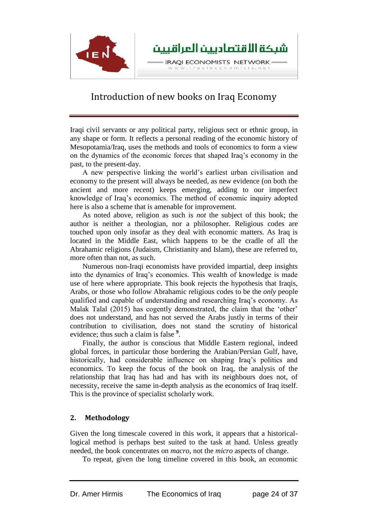

Iraqi civil servants or any political party, religious sect or ethnic group, in any shape or form. It reflects a personal reading of the economic history of Mesopotamia/Iraq, uses the methods and tools of economics to form a view on the dynamics of the economic forces that shaped Iraq's economy in the past, to the present-day.

A new perspective linking the world's earliest urban civilisation and economy to the present will always be needed, as new evidence (on both the ancient and more recent) keeps emerging, adding to our imperfect knowledge of Iraq's economics. The method of economic inquiry adopted here is also a scheme that is amenable for improvement.

As noted above, religion as such is *not* the subject of this book; the author is neither a theologian, nor a philosopher. Religious codes are touched upon only insofar as they deal with economic matters. As Iraq is located in the Middle East, which happens to be the cradle of all the Abrahamic religions (Judaism, Christianity and Islam), these are referred to, more often than not, as such.

Numerous non-Iraqi economists have provided impartial, deep insights into the dynamics of Iraq's economics. This wealth of knowledge is made use of here where appropriate. This book rejects the hypothesis that Iraqis, Arabs, or those who follow Abrahamic religious codes to be the *only* people qualified and capable of understanding and researching Iraq's economy. As Malak Talal (2015) has cogently demonstrated, the claim that the 'other' does not understand, and has not served the Arabs justly in terms of their contribution to civilisation, does not stand the scrutiny of historical evidence; thus such a claim is false **<sup>9</sup>** .

Finally, the author is conscious that Middle Eastern regional, indeed global forces, in particular those bordering the Arabian/Persian Gulf, have, historically, had considerable influence on shaping Iraq's politics and economics. To keep the focus of the book on Iraq, the analysis of the relationship that Iraq has had and has with its neighbours does not, of necessity, receive the same in-depth analysis as the economics of Iraq itself. This is the province of specialist scholarly work.

#### **2. Methodology**

Given the long timescale covered in this work, it appears that a historicallogical method is perhaps best suited to the task at hand. Unless greatly needed, the book concentrates on *macro*, not the *micro* aspects of change.

To repeat, given the long timeline covered in this book, an economic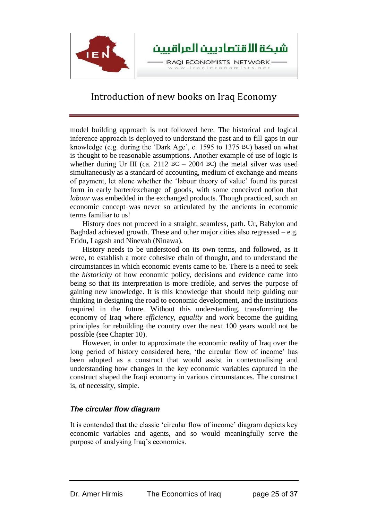

model building approach is not followed here. The historical and logical inference approach is deployed to understand the past and to fill gaps in our knowledge (e.g. during the 'Dark Age', c. 1595 to 1375 BC) based on what is thought to be reasonable assumptions. Another example of use of logic is whether during Ur III (ca. 2112 BC – 2004 BC) the metal silver was used simultaneously as a standard of accounting, medium of exchange and means of payment, let alone whether the 'labour theory of value' found its purest form in early barter/exchange of goods, with some conceived notion that *labour* was embedded in the exchanged products. Though practiced, such an economic concept was never so articulated by the ancients in economic terms familiar to us!

History does not proceed in a straight, seamless, path. Ur, Babylon and Baghdad achieved growth. These and other major cities also regressed  $-e.g.$ Eridu, Lagash and Ninevah (Ninawa).

History needs to be understood on its own terms, and followed, as it were, to establish a more cohesive chain of thought, and to understand the circumstances in which economic events came to be. There is a need to seek the *historicity* of how economic policy, decisions and evidence came into being so that its interpretation is more credible, and serves the purpose of gaining new knowledge. It is this knowledge that should help guiding our thinking in designing the road to economic development, and the institutions required in the future. Without this understanding, transforming the economy of Iraq where *efficiency*, *equality* and *work* become the guiding principles for rebuilding the country over the next 100 years would not be possible (see Chapter 10).

However, in order to approximate the economic reality of Iraq over the long period of history considered here, 'the circular flow of income' has been adopted as a construct that would assist in contextualising and understanding how changes in the key economic variables captured in the construct shaped the Iraqi economy in various circumstances. The construct is, of necessity, simple.

### *The circular flow diagram*

It is contended that the classic 'circular flow of income' diagram depicts key economic variables and agents, and so would meaningfully serve the purpose of analysing Iraq's economics.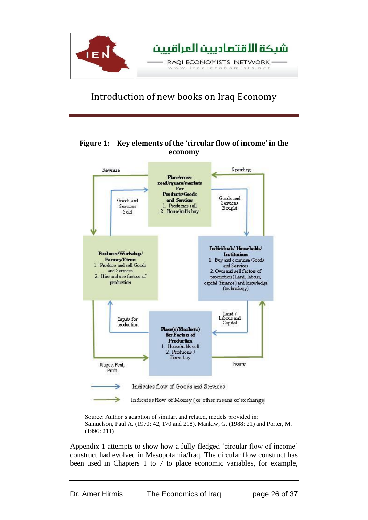

### **Figure 1: Key elements of the 'circular flow of income' in the economy**



Source: Author's adaption of similar, and related, models provided in: Samuelson, Paul A. (1970: 42, 170 and 218), Mankiw, G. (1988: 21) and Porter, M. (1996: 211)

Appendix 1 attempts to show how a fully-fledged 'circular flow of income' construct had evolved in Mesopotamia/Iraq. The circular flow construct has been used in Chapters 1 to 7 to place economic variables, for example,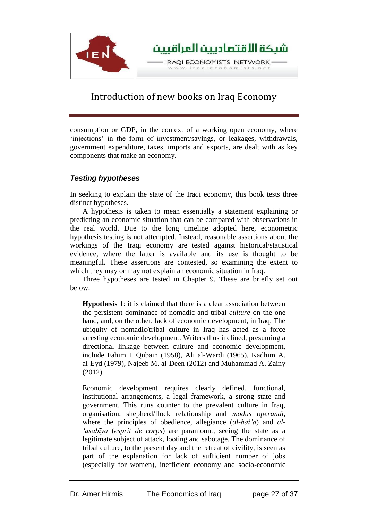

consumption or GDP, in the context of a working open economy, where 'injections' in the form of investment/savings, or leakages, withdrawals, government expenditure, taxes, imports and exports, are dealt with as key components that make an economy.

## *Testing hypotheses*

In seeking to explain the state of the Iraqi economy, this book tests three distinct hypotheses.

A hypothesis is taken to mean essentially a statement explaining or predicting an economic situation that can be compared with observations in the real world. Due to the long timeline adopted here, econometric hypothesis testing is not attempted. Instead, reasonable assertions about the workings of the Iraqi economy are tested against historical/statistical evidence, where the latter is available and its use is thought to be meaningful. These assertions are contested, so examining the extent to which they may or may not explain an economic situation in Iraq.

Three hypotheses are tested in Chapter 9. These are briefly set out below:

**Hypothesis 1**: it is claimed that there is a clear association between the persistent dominance of nomadic and tribal *culture* on the one hand, and, on the other, lack of economic development, in Iraq. The ubiquity of nomadic/tribal culture in Iraq has acted as a force arresting economic development. Writers thus inclined, presuming a directional linkage between culture and economic development, include Fahim I. Qubain (1958), Ali al-Wardi (1965), Kadhim A. al-Eyd (1979), Najeeb M. al-Deen (2012) and Muhammad A. Zainy (2012).

Economic development requires clearly defined, functional, institutional arrangements, a legal framework, a strong state and government. This runs counter to the prevalent culture in Iraq, organisation, shepherd/flock relationship and *modus operandi*, where the principles of obedience, allegiance (*al-bai'a*) and *al- 'asabīya* (*esprit de corps*) are paramount, seeing the state as a legitimate subject of attack, looting and sabotage. The dominance of tribal culture, to the present day and the retreat of civility, is seen as part of the explanation for lack of sufficient number of jobs (especially for women), inefficient economy and socio-economic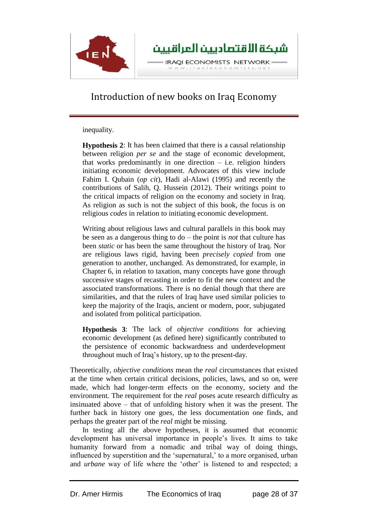

inequality.

**Hypothesis 2**: It has been claimed that there is a causal relationship between religion *per se* and the stage of economic development, that works predominantly in one direction – i.e. religion hinders initiating economic development. Advocates of this view include Fahim I. Qubain (*op cit*), Hadi al-Alawi (1995) and recently the contributions of Salih, Q. Hussein (2012). Their writings point to the critical impacts of religion on the economy and society in Iraq. As religion as such is not the subject of this book, the focus is on religious *codes* in relation to initiating economic development.

Writing about religious laws and cultural parallels in this book may be seen as a dangerous thing to do – the point is *not* that culture has been *static* or has been the same throughout the history of Iraq. Nor are religious laws rigid, having been *precisely copied* from one generation to another, unchanged. As demonstrated, for example, in Chapter 6, in relation to taxation, many concepts have gone through successive stages of recasting in order to fit the new context and the associated transformations. There is no denial though that there are similarities, and that the rulers of Iraq have used similar policies to keep the majority of the Iraqis, ancient or modern, poor, subjugated and isolated from political participation.

**Hypothesis 3**: The lack of *objective conditions* for achieving economic development (as defined here) significantly contributed to the persistence of economic backwardness and underdevelopment throughout much of Iraq's history, up to the present-day.

Theoretically, *objective conditions* mean the *real* circumstances that existed at the time when certain critical decisions, policies, laws, and so on, were made, which had longer-term effects on the economy, society and the environment. The requirement for the *real* poses acute research difficulty as insinuated above – that of unfolding history when it was the present. The further back in history one goes, the less documentation one finds, and perhaps the greater part of the *real* might be missing.

In testing all the above hypotheses, it is assumed that economic development has universal importance in people's lives. It aims to take humanity forward from a nomadic and tribal way of doing things, influenced by superstition and the 'supernatural,' to a more organised, urban and *urbane* way of life where the 'other' is listened to and respected; a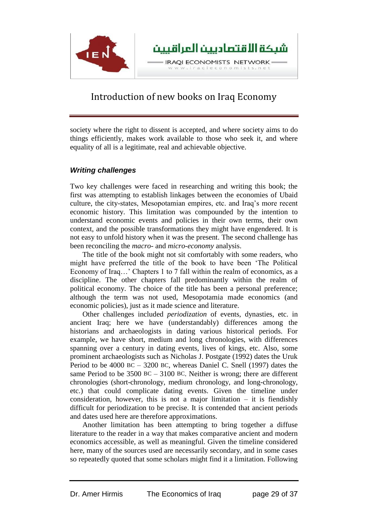

society where the right to dissent is accepted, and where society aims to do things efficiently, makes work available to those who seek it, and where equality of all is a legitimate, real and achievable objective.

#### *Writing challenges*

Two key challenges were faced in researching and writing this book; the first was attempting to establish linkages between the economies of Ubaid culture, the city-states, Mesopotamian empires, etc. and Iraq's more recent economic history. This limitation was compounded by the intention to understand economic events and policies in their own terms, their own context, and the possible transformations they might have engendered. It is not easy to unfold history when it was the present. The second challenge has been reconciling the *macro-* and *micro-economy* analysis.

The title of the book might not sit comfortably with some readers, who might have preferred the title of the book to have been 'The Political Economy of Iraq…' Chapters 1 to 7 fall within the realm of economics, as a discipline. The other chapters fall predominantly within the realm of political economy. The choice of the title has been a personal preference; although the term was not used, Mesopotamia made economics (and economic policies), just as it made science and literature.

Other challenges included *periodization* of events, dynasties, etc. in ancient Iraq; here we have (understandably) differences among the historians and archaeologists in dating various historical periods. For example, we have short, medium and long chronologies, with differences spanning over a century in dating events, lives of kings, etc. Also, some prominent archaeologists such as Nicholas J. Postgate (1992) dates the Uruk Period to be 4000 BC – 3200 BC, whereas Daniel C. Snell (1997) dates the same Period to be  $3500$  BC –  $3100$  BC. Neither is wrong; there are different chronologies (short-chronology, medium chronology, and long-chronology, etc.) that could complicate dating events. Given the timeline under consideration, however, this is not a major limitation  $-$  it is fiendishly difficult for periodization to be precise. It is contended that ancient periods and dates used here are therefore approximations.

Another limitation has been attempting to bring together a diffuse literature to the reader in a way that makes comparative ancient and modern economics accessible, as well as meaningful. Given the timeline considered here, many of the sources used are necessarily secondary, and in some cases so repeatedly quoted that some scholars might find it a limitation. Following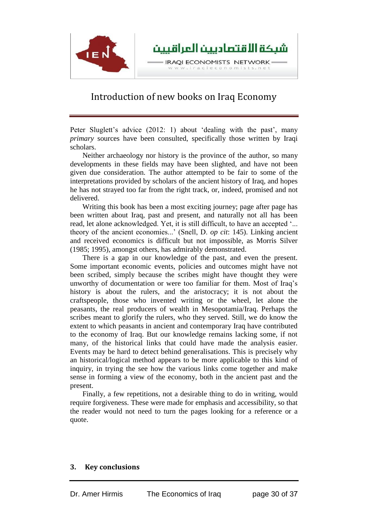

Peter Sluglett's advice (2012: 1) about 'dealing with the past', many *primary* sources have been consulted, specifically those written by Iraqi scholars.

Neither archaeology nor history is the province of the author, so many developments in these fields may have been slighted, and have not been given due consideration. The author attempted to be fair to some of the interpretations provided by scholars of the ancient history of Iraq, and hopes he has not strayed too far from the right track, or, indeed, promised and not delivered.

Writing this book has been a most exciting journey; page after page has been written about Iraq, past and present, and naturally not all has been read, let alone acknowledged. Yet, it is still difficult, to have an accepted '... theory of the ancient economies...' (Snell, D. *op cit*: 145). Linking ancient and received economics is difficult but not impossible, as Morris Silver (1985; 1995), amongst others, has admirably demonstrated.

There is a gap in our knowledge of the past, and even the present. Some important economic events, policies and outcomes might have not been scribed, simply because the scribes might have thought they were unworthy of documentation or were too familiar for them. Most of Iraq's history is about the rulers, and the aristocracy; it is not about the craftspeople, those who invented writing or the wheel, let alone the peasants, the real producers of wealth in Mesopotamia/Iraq. Perhaps the scribes meant to glorify the rulers, who they served. Still, we do know the extent to which peasants in ancient and contemporary Iraq have contributed to the economy of Iraq. But our knowledge remains lacking some, if not many, of the historical links that could have made the analysis easier. Events may be hard to detect behind generalisations. This is precisely why an historical/logical method appears to be more applicable to this kind of inquiry, in trying the see how the various links come together and make sense in forming a view of the economy, both in the ancient past and the present.

Finally, a few repetitions, not a desirable thing to do in writing, would require forgiveness. These were made for emphasis and accessibility, so that the reader would not need to turn the pages looking for a reference or a quote.

#### **3. Key conclusions**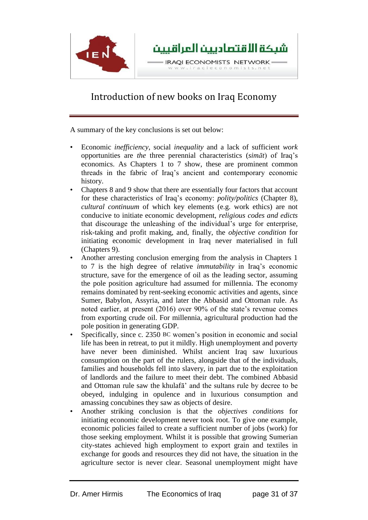

A summary of the key conclusions is set out below:

- Economic *inefficiency*, social *inequality* and a lack of sufficient *work* opportunities are *the* three perennial characteristics (*simāt*) of Iraq's economics. As Chapters 1 to 7 show, these are prominent common threads in the fabric of Iraq's ancient and contemporary economic history.
- Chapters 8 and 9 show that there are essentially four factors that account for these characteristics of Iraq's economy: *polity/politics* (Chapter 8), *cultural continuum* of which key elements (e.g. work ethics) are not conducive to initiate economic development, *religious codes and edicts* that discourage the unleashing of the individual's urge for enterprise, risk-taking and profit making, and, finally, the *objective condition* for initiating economic development in Iraq never materialised in full (Chapters 9).
- Another arresting conclusion emerging from the analysis in Chapters 1 to 7 is the high degree of relative *immutability* in Iraq's economic structure, save for the emergence of oil as the leading sector, assuming the pole position agriculture had assumed for millennia. The economy remains dominated by rent-seeking economic activities and agents, since Sumer, Babylon, Assyria, and later the Abbasid and Ottoman rule. As noted earlier, at present (2016) over 90% of the state's revenue comes from exporting crude oil. For millennia, agricultural production had the pole position in generating GDP.
- Specifically, since c. 2350 BC women's position in economic and social life has been in retreat, to put it mildly. High unemployment and poverty have never been diminished. Whilst ancient Iraq saw luxurious consumption on the part of the rulers, alongside that of the individuals, families and households fell into slavery, in part due to the exploitation of landlords and the failure to meet their debt. The combined Abbasid and Ottoman rule saw the khulafā' and the sultans rule by decree to be obeyed, indulging in opulence and in luxurious consumption and amassing concubines they saw as objects of desire.
- Another striking conclusion is that the *objectives conditions* for initiating economic development never took root. To give one example, economic policies failed to create a sufficient number of jobs (work) for those seeking employment. Whilst it is possible that growing Sumerian city-states achieved high employment to export grain and textiles in exchange for goods and resources they did not have, the situation in the agriculture sector is never clear. Seasonal unemployment might have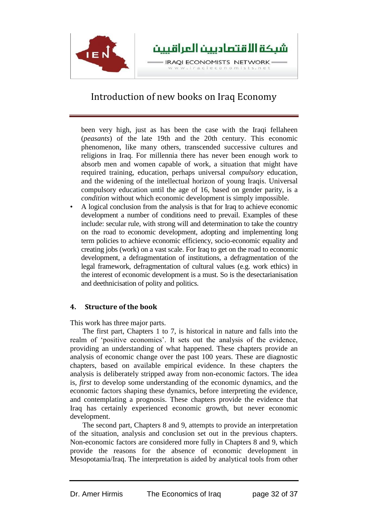

been very high, just as has been the case with the Iraqi fellaheen (*peasants*) of the late 19th and the 20th century. This economic phenomenon, like many others, transcended successive cultures and religions in Iraq. For millennia there has never been enough work to absorb men and women capable of work, a situation that might have required training, education, perhaps universal *compulsory* education, and the widening of the intellectual horizon of young Iraqis. Universal compulsory education until the age of 16, based on gender parity, is a *condition* without which economic development is simply impossible.

• A logical conclusion from the analysis is that for Iraq to achieve economic development a number of conditions need to prevail. Examples of these include: secular rule, with strong will and determination to take the country on the road to economic development, adopting and implementing long term policies to achieve economic efficiency, socio-economic equality and creating jobs (work) on a vast scale. For Iraq to get on the road to economic development, a defragmentation of institutions, a defragmentation of the legal framework, defragmentation of cultural values (e.g. work ethics) in the interest of economic development is a must. So is the desectarianisation and deethnicisation of polity and politics.

### **4. Structure of the book**

This work has three major parts.

The first part, Chapters 1 to 7, is historical in nature and falls into the realm of 'positive economics'. It sets out the analysis of the evidence, providing an understanding of what happened. These chapters provide an analysis of economic change over the past 100 years. These are diagnostic chapters, based on available empirical evidence. In these chapters the analysis is deliberately stripped away from non-economic factors. The idea is, *first* to develop some understanding of the economic dynamics, and the economic factors shaping these dynamics, before interpreting the evidence, and contemplating a prognosis. These chapters provide the evidence that Iraq has certainly experienced economic growth, but never economic development.

The second part, Chapters 8 and 9, attempts to provide an interpretation of the situation, analysis and conclusion set out in the previous chapters. Non-economic factors are considered more fully in Chapters 8 and 9, which provide the reasons for the absence of economic development in Mesopotamia/Iraq. The interpretation is aided by analytical tools from other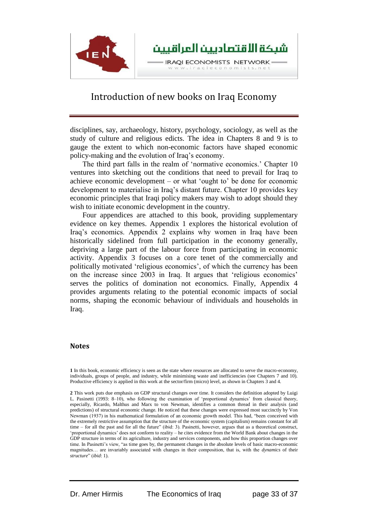

disciplines, say, archaeology, history, psychology, sociology, as well as the study of culture and religious edicts. The idea in Chapters 8 and 9 is to gauge the extent to which non-economic factors have shaped economic policy-making and the evolution of Iraq's economy.

The third part falls in the realm of 'normative economics.' Chapter 10 ventures into sketching out the conditions that need to prevail for Iraq to achieve economic development – or what 'ought to' be done for economic development to materialise in Iraq's distant future. Chapter 10 provides key economic principles that Iraqi policy makers may wish to adopt should they wish to initiate economic development in the country.

Four appendices are attached to this book, providing supplementary evidence on key themes. Appendix 1 explores the historical evolution of Iraq's economics. Appendix 2 explains why women in Iraq have been historically sidelined from full participation in the economy generally, depriving a large part of the labour force from participating in economic activity. Appendix 3 focuses on a core tenet of the commercially and politically motivated 'religious economics', of which the currency has been on the increase since 2003 in Iraq. It argues that 'religious economics' serves the politics of domination not economics. Finally, Appendix 4 provides arguments relating to the potential economic impacts of social norms, shaping the economic behaviour of individuals and households in Iraq.

#### **Notes**

**1** In this book, economic efficiency is seen as the state where resources are allocated to serve the macro-economy, individuals, groups of people, and industry, while minimising waste and inefficiencies (see Chapters 7 and 10). Productive efficiency is applied in this work at the sector/firm (micro) level, as shown in Chapters 3 and 4.

**2** This work puts due emphasis on GDP structural changes over time. It considers the definition adopted by Luigi L. Pasinetti (1993: 8–10), who following the examination of 'proportional dynamics' from classical theory, especially, Ricardo, Malthus and Marx to von Newman, identifies a common thread in their analysis (and predictions) of structural economic change. He noticed that these changes were expressed most succinctly by Von Newman (1937) in his mathematical formulation of an economic growth model. This had, "been conceived with the extremely restrictive assumption that the structure of the economic system (capitalism) remains constant for all time – for all the past and for all the future" (ibid: 3). Pasinetti, however, argues that as a theoretical construct, 'proportional dynamics' does not conform to reality – he cites evidence from the World Bank about changes in the GDP structure in terms of its agriculture, industry and services components, and how this proportion changes over time. In Pasinetti's view, "as time goes by, the permanent changes in the absolute levels of basic macro-economic magnitudes… are invariably associated with changes in their composition, that is, with the *dynamics* of their *structure*" (*ibid*: 1).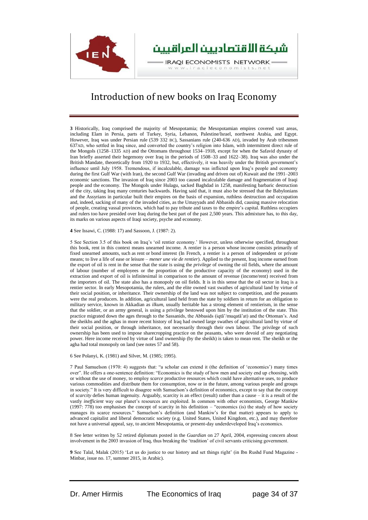

**3** Historically, Iraq comprised the majority of Mesopotamia; the Mesopotamian empires covered vast areas, including Elam in Persia, parts of Turkey, Syria, Lebanon, Palestine/Israel, northwest Arabia, and Egypt. However, Iraq was under Persian rule (539 332 BC), Sassanians rule (240-636 AD), invaded by Arab tribesmen 637AD, who settled in Iraq since, and converted the country's religion into Islam, with intermittent direct rule of the Mongols (1258–1335 AD) and the Ottomans throughout 1534–1918, except for when the Safavid dynasty of Iran briefly asserted their hegemony over Iraq in the periods of 1508–33 and 1622–38). Iraq was also under the British Mandate, theoretically from 1920 to 1932, but, effectively, it was heavily under the British government's influence until July 1958. Tremendous, if incalculable, damage was inflicted upon Iraq's people and economy during the first Gulf War (with Iran), the second Gulf War (invading and driven out of) Kuwait and the 1991–2003 economic sanctions. The invasion of Iraq since 2003 too caused incalculable damage and fragmentation of Iraqi people and the economy. The Mongols under Hulagu, sacked Baghdad in 1258, manifesting barbaric destruction of the city, taking Iraq many centuries backwards. Having said that, it must also be stressed that the Babylonians and the Assyrians in particular built their empires on the basis of expansion, ruthless destruction and occupation and, indeed, sacking of many of the invaded cities, as the Umayyads and Abbasids did, causing massive relocation of people, creating vassal provinces, which had to pay tribute and taxes to the empire's capital. Ruthless occupiers and rulers too have presided over Iraq during the best part of the past 2,500 years. This admixture has, to this day, its marks on various aspects of Iraqi society, psyche and economy.

**4** See Issawi, C. (1988: 17) and Sassoon, J. (1987: 2).

5 See Section 3.5 of this book on Iraq's 'oil rentier economy.' However, unless otherwise specified, throughout this book, rent in this context means unearned income. A rentier is a person whose income consists primarily of fixed unearned amounts, such as rent or bond interest (In French, a rentier is a person of independent or private means; to live a life of ease or leisure – *mener une vie de rentier*). Applied to the present, Iraq income earned from the export of oil is rent in the sense that the state is using the *privilege* of owning the oil fields, where the amount of labour (number of employees or the proportion of the productive capacity of the economy) used in the extraction and export of oil is infinitesimal in comparison to the amount of revenue (income/rent) received from the importers of oil. The state also has a monopoly on oil fields. It is in this sense that the oil sector in Iraq is a rentier sector. In early Mesopotamia, the rulers, and the elite owned vast swathes of agricultural land by virtue of their social position, or inheritance. Their ownership of the land was not subject to competition, and the peasants were the real producers. In addition, agricultural land held from the state by soldiers in return for an obligation to military service, known in Akkadian as *ilkum*, usually heritable has a strong element of rentierism, in the sense that the soldier, or an army general, is using a privilege bestowed upon him by the institution of the state. This practice migrated down the ages through to the Sassanids, the Abbasids (iqtā'/muqatā'at) and the Ottoman's. And the sheikhs and the aghas in more recent history of Iraq had owned large swathes of agricultural land by virtue of their social position, or through inheritance, not necessarily through their own labour. The privilege of such ownership has been used to impose sharecropping practice on the peasants, who were devoid of any negotiating power. Here income received by virtue of land ownership (by the sheikh) is taken to mean rent. The sheikh or the agha had total monopoly on land (see notes 57 and 58).

6 See Polanyi, K. (1981) and Silver, M. (1985; 1995).

7 Paul Samuelson (1970: 4) suggests that: "a scholar can extend it (the definition of 'economics') many times over". He offers a one-sentence definition: "Economics is the study of how men and society end up *choosing*, with or without the use of money, to employ *scarce* productive resources which could have alternative uses, to produce various commodities and distribute them for consumption, now or in the future, among various people and groups in society." It is very difficult to disagree with Samuelson's definition of economics, except to say that the concept of *scarcity* defies human ingenuity. Arguably, scarcity is an effect (result) rather than a cause – it is a result of the vastly *inefficient* way our planet's resources are exploited. In common with other economists, George Mankiw (1997: 778) too emphasises the concept of scarcity in his definition – "economics (is) the study of how society manages its scarce resources." Samuelson's definition (and Mankiw's for that matter) appears to apply to advanced capitalist and liberal democratic society (e.g. United States, United Kingdom, etc.), and may therefore not have a universal appeal, say, to ancient Mesopotamia, or present-day underdeveloped Iraq's economics.

8 See letter written by 52 retired diplomats posted in the *Guardian* on 27 April, 2004, expressing concern about involvement in the 2003 invasion of Iraq, thus breaking the 'tradition' of civil servants criticising government.

**9** See Talal, Malak (2015) 'Let us do justice to our history and set things right' (in Ibn Rushd Fund Magazine - Minbar, issue no. 17, summer 2015, in Arabic).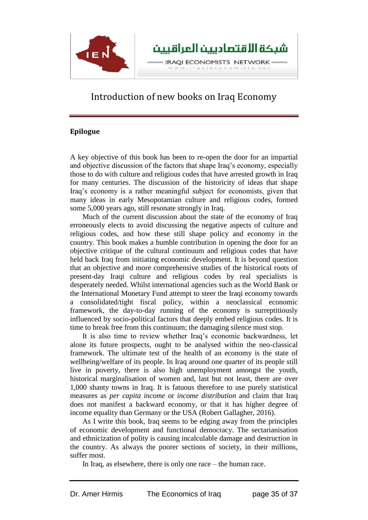

#### **Epilogue**

A key objective of this book has been to re-open the door for an impartial and objective discussion of the factors that shape Iraq's economy, especially those to do with culture and religious codes that have arrested growth in Iraq for many centuries. The discussion of the historicity of ideas that shape Iraq's economy is a rather meaningful subject for economists, given that many ideas in early Mesopotamian culture and religious codes, formed some 5,000 years ago, still resonate strongly in Iraq.

Much of the current discussion about the state of the economy of Iraq erroneously elects to avoid discussing the negative aspects of culture and religious codes, and how these still shape policy and economy in the country. This book makes a humble contribution in opening the door for an objective critique of the cultural continuum and religious codes that have held back Iraq from initiating economic development. It is beyond question that an objective and more comprehensive studies of the historical roots of present-day Iraqi culture and religious codes by real specialists is desperately needed. Whilst international agencies such as the World Bank or the International Monetary Fund attempt to steer the Iraqi economy towards a consolidated/tight fiscal policy, within a neoclassical economic framework, the day-to-day running of the economy is surreptitiously influenced by socio-political factors that deeply embed religious codes. It is time to break free from this continuum; the damaging silence must stop.

It is also time to review whether Iraq's economic backwardness, let alone its future prospects, ought to be analysed within the neo-classical framework. The ultimate test of the health of an economy is the state of wellbeing/welfare of its people. In Iraq around one quarter of its people still live in poverty, there is also high unemployment amongst the youth, historical marginalisation of women and, last but not least, there are over 1,000 shanty towns in Iraq. It is fatuous therefore to use purely statistical measures as *per capita income* or *income distribution* and claim that Iraq does not manifest a backward economy, or that it has higher degree of income equality than Germany or the USA (Robert Gallagher, 2016).

As I write this book, Iraq seems to be edging away from the principles of economic development and functional democracy. The sectarianisation and ethnicization of polity is causing incalculable damage and destruction in the country. As always the poorer sections of society, in their millions, suffer most.

In Iraq, as elsewhere, there is only one race – the human race.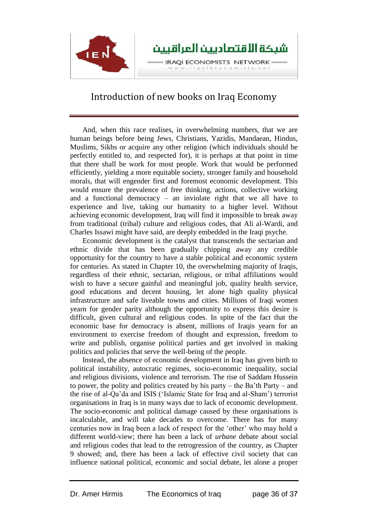

And, when this race realises, in overwhelming numbers, that we are human beings before being Jews, Christians, Yazidis, Mandaean, Hindus, Muslims, Sikhs or acquire any other religion (which individuals should be perfectly entitled to, and respected for), it is perhaps at that point in time that there shall be work for most people. Work that would be performed efficiently, yielding a more equitable society, stronger family and household morals, that will engender first and foremost economic development. This would ensure the prevalence of free thinking, actions, collective working and a functional democracy – an inviolate right that we all have to experience and live, taking our humanity to a higher level. Without achieving economic development, Iraq will find it impossible to break away from traditional (tribal) culture and religious codes, that Ali al-Wardi, and Charles Issawi might have said, are deeply embedded in the Iraqi psyche.

Economic development is the catalyst that transcends the sectarian and ethnic divide that has been gradually chipping away any credible opportunity for the country to have a stable political and economic system for centuries. As stated in Chapter 10, the overwhelming majority of Iraqis, regardless of their ethnic, sectarian, religious, or tribal affiliations would wish to have a secure gainful and meaningful job, quality health service, good educations and decent housing, let alone high quality physical infrastructure and safe liveable towns and cities. Millions of Iraqi women yearn for gender parity although the opportunity to express this desire is difficult, given cultural and religious codes. In spite of the fact that the economic base for democracy is absent, millions of Iraqis yearn for an environment to exercise freedom of thought and expression, freedom to write and publish, organise political parties and get involved in making politics and policies that serve the well-being of the people.

Instead, the absence of economic development in Iraq has given birth to political instability, autocratic regimes, socio-economic inequality, social and religious divisions, violence and terrorism. The rise of Saddam Hussein to power, the polity and politics created by his party – the Ba'th Party – and the rise of al-Qa'da and ISIS ('Islamic State for Iraq and al-Sham') terrorist organisations in Iraq is in many ways due to lack of economic development. The socio-economic and political damage caused by these organisations is incalculable, and will take decades to overcome. There has for many centuries now in Iraq been a lack of respect for the 'other' who may hold a different world-view; there has been a lack of *urbane* debate about social and religious codes that lead to the retrogression of the country, as Chapter 9 showed; and, there has been a lack of effective civil society that can influence national political, economic and social debate, let alone a proper